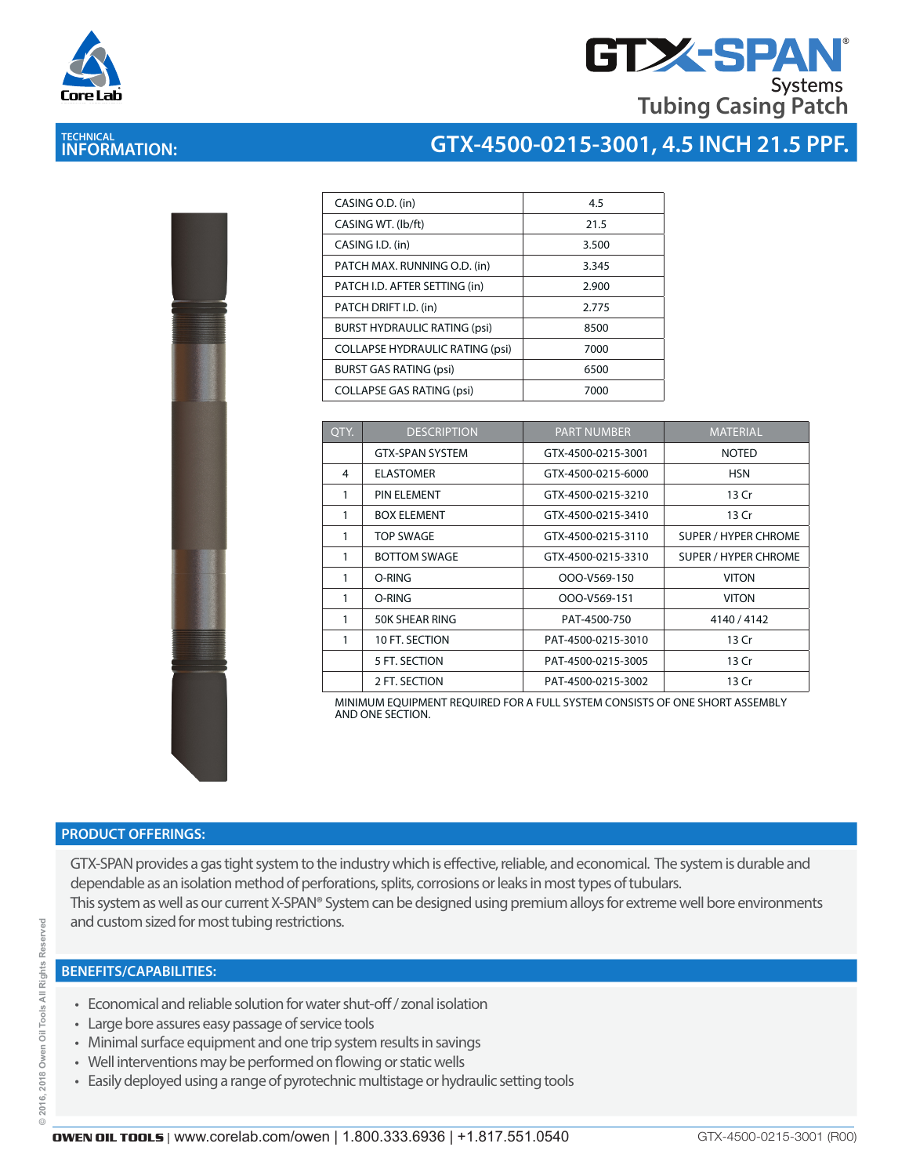

# **GTX-SPAN Systems Tubing Casing Patch**

### **TECHNICAL INFORMATION:**

#### **GTX-4500-0215-3001, 4.5 INCH 21.5 PPF.**

| l<br>I<br><b>CONTRACTOR</b> | ķ |
|-----------------------------|---|
|                             |   |
|                             |   |

| CASING O.D. (in)                       | 4.5   |
|----------------------------------------|-------|
| CASING WT. (lb/ft)                     | 21.5  |
| CASING I.D. (in)                       | 3.500 |
| PATCH MAX. RUNNING O.D. (in)           | 3.345 |
| PATCH I.D. AFTER SETTING (in)          | 2.900 |
| PATCH DRIFT I.D. (in)                  | 2.775 |
| <b>BURST HYDRAULIC RATING (psi)</b>    | 8500  |
| <b>COLLAPSE HYDRAULIC RATING (psi)</b> | 7000  |
| <b>BURST GAS RATING (psi)</b>          | 6500  |
| <b>COLLAPSE GAS RATING (psi)</b>       | 7000  |

| OTY. | <b>DESCRIPTION</b>     | <b>PART NUMBER</b> | <b>MATERIAL</b>             |
|------|------------------------|--------------------|-----------------------------|
|      | <b>GTX-SPAN SYSTEM</b> | GTX-4500-0215-3001 | <b>NOTED</b>                |
| 4    | <b>ELASTOMER</b>       | GTX-4500-0215-6000 | <b>HSN</b>                  |
| 1    | PIN ELEMENT            | GTX-4500-0215-3210 | 13 Cr                       |
| 1    | <b>BOX ELEMENT</b>     | GTX-4500-0215-3410 | 13 Cr                       |
| 1    | <b>TOP SWAGE</b>       | GTX-4500-0215-3110 | <b>SUPER / HYPER CHROME</b> |
| 1    | <b>BOTTOM SWAGE</b>    | GTX-4500-0215-3310 | SUPER / HYPER CHROME        |
| 1    | O-RING                 | OOO-V569-150       | <b>VITON</b>                |
| 1    | O-RING                 | OOO-V569-151       | <b>VITON</b>                |
| 1    | 50K SHEAR RING         | PAT-4500-750       | 4140 / 4142                 |
| 1    | 10 FT. SECTION         | PAT-4500-0215-3010 | 13 Cr                       |
|      | 5 FT. SECTION          | PAT-4500-0215-3005 | 13 Cr                       |
|      | 2 FT. SECTION          | PAT-4500-0215-3002 | 13 Cr                       |

MINIMUM EQUIPMENT REQUIRED FOR A FULL SYSTEM CONSISTS OF ONE SHORT ASSEMBLY AND ONE SECTION.

#### **PRODUCT OFFERINGS:**

GTX-SPAN provides a gas tight system to the industry which is effective, reliable, and economical. The system is durable and dependable as an isolation method of perforations, splits, corrosions or leaks in most types of tubulars. This system as well as our current X-SPAN® System can be designed using premium alloys for extreme well bore environments and custom sized for most tubing restrictions.

#### **BENEFITS/CAPABILITIES:**

- Economical and reliable solution for water shut-off / zonal isolation
- Large bore assures easy passage of service tools
- Minimal surface equipment and one trip system results in savings
- Well interventions may be performed on flowing or static wells
- Easily deployed using a range of pyrotechnic multistage or hydraulic setting tools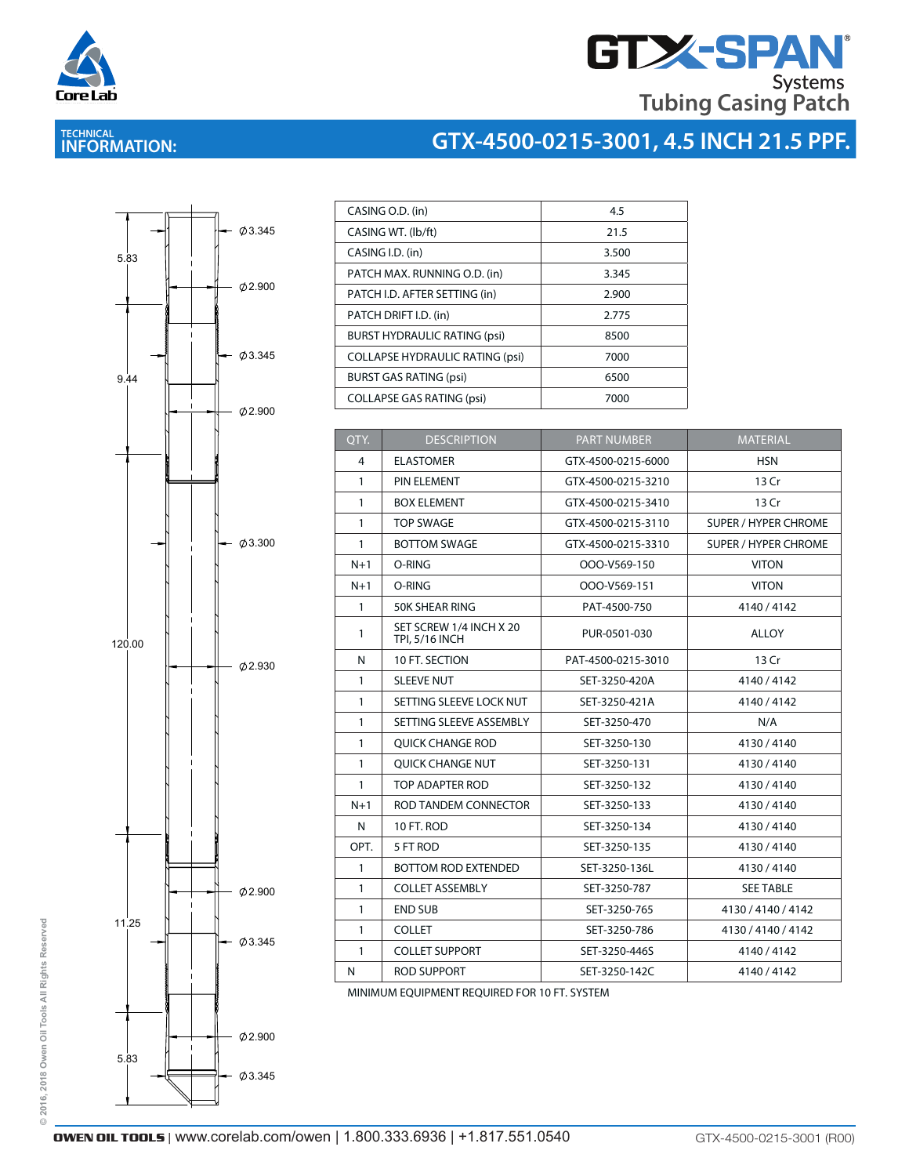

# **GTX-SPAN® Tubing Casing Patch**

# **TECHNICAL INFORMATION:**

## **GTX-4500-0215-3001, 4.5 INCH 21.5 PPF.**



| CASING O.D. (in)                       | 4.5   |
|----------------------------------------|-------|
| CASING WT. (lb/ft)                     | 21.5  |
| CASING I.D. (in)                       | 3.500 |
| PATCH MAX. RUNNING O.D. (in)           | 3.345 |
| PATCH I.D. AFTER SETTING (in)          | 2.900 |
| PATCH DRIFT I.D. (in)                  | 2.775 |
| <b>BURST HYDRAULIC RATING (psi)</b>    | 8500  |
| <b>COLLAPSE HYDRAULIC RATING (psi)</b> | 7000  |
| <b>BURST GAS RATING (psi)</b>          | 6500  |
| <b>COLLAPSE GAS RATING (psi)</b>       | 7000  |

| QTY.         | <b>DESCRIPTION</b>                               | <b>PART NUMBER</b> | <b>MATERIAL</b>             |
|--------------|--------------------------------------------------|--------------------|-----------------------------|
| 4            | <b>ELASTOMER</b>                                 | GTX-4500-0215-6000 | <b>HSN</b>                  |
| $\mathbf{1}$ | PIN ELEMENT                                      | GTX-4500-0215-3210 | 13 Cr                       |
| $\mathbf{1}$ | <b>BOX ELEMENT</b>                               | GTX-4500-0215-3410 | 13 Cr                       |
| $\mathbf{1}$ | <b>TOP SWAGE</b>                                 | GTX-4500-0215-3110 | <b>SUPER / HYPER CHROME</b> |
| $\mathbf{1}$ | <b>BOTTOM SWAGE</b>                              | GTX-4500-0215-3310 | <b>SUPER / HYPER CHROME</b> |
| $N+1$        | O-RING                                           | OOO-V569-150       | <b>VITON</b>                |
| $N+1$        | O-RING                                           | OOO-V569-151       | <b>VITON</b>                |
| $\mathbf{1}$ | 50K SHEAR RING                                   | PAT-4500-750       | 4140/4142                   |
| 1            | SET SCREW 1/4 INCH X 20<br><b>TPI, 5/16 INCH</b> | PUR-0501-030       | <b>ALLOY</b>                |
| N            | 10 FT. SECTION                                   | PAT-4500-0215-3010 | 13 Cr                       |
| $\mathbf{1}$ | <b>SLEEVE NUT</b>                                | SET-3250-420A      | 4140/4142                   |
| $\mathbf{1}$ | SETTING SLEEVE LOCK NUT                          | SET-3250-421A      | 4140/4142                   |
| $\mathbf{1}$ | SETTING SLEEVE ASSEMBLY                          | SET-3250-470       | N/A                         |
| $\mathbf{1}$ | <b>OUICK CHANGE ROD</b>                          | SET-3250-130       | 4130/4140                   |
| $\mathbf{1}$ | <b>OUICK CHANGE NUT</b>                          | SET-3250-131       | 4130/4140                   |
| $\mathbf{1}$ | TOP ADAPTER ROD                                  | SET-3250-132       | 4130/4140                   |
| $N+1$        | ROD TANDEM CONNECTOR                             | SET-3250-133       | 4130/4140                   |
| N            | 10 FT. ROD                                       | SET-3250-134       | 4130/4140                   |
| OPT.         | 5 FT ROD                                         | SET-3250-135       | 4130/4140                   |
| $\mathbf{1}$ | <b>BOTTOM ROD EXTENDED</b>                       | SET-3250-136L      | 4130/4140                   |
| $\mathbf{1}$ | <b>COLLET ASSEMBLY</b>                           | SET-3250-787       | <b>SEE TABLE</b>            |
| $\mathbf{1}$ | <b>END SUB</b>                                   | SET-3250-765       | 4130 / 4140 / 4142          |
| $\mathbf{1}$ | <b>COLLET</b>                                    | SET-3250-786       | 4130 / 4140 / 4142          |
| $\mathbf{1}$ | <b>COLLET SUPPORT</b>                            | SET-3250-446S      | 4140 / 4142                 |
| N            | <b>ROD SUPPORT</b>                               | SET-3250-142C      | 4140/4142                   |

MINIMUM EQUIPMENT REQUIRED FOR 10 FT. SYSTEM

© 2016, 2018 Owen Oil Tools All Rights Reserved **© 2016, 2018 Owen Oil Tools All Rights Reserved**